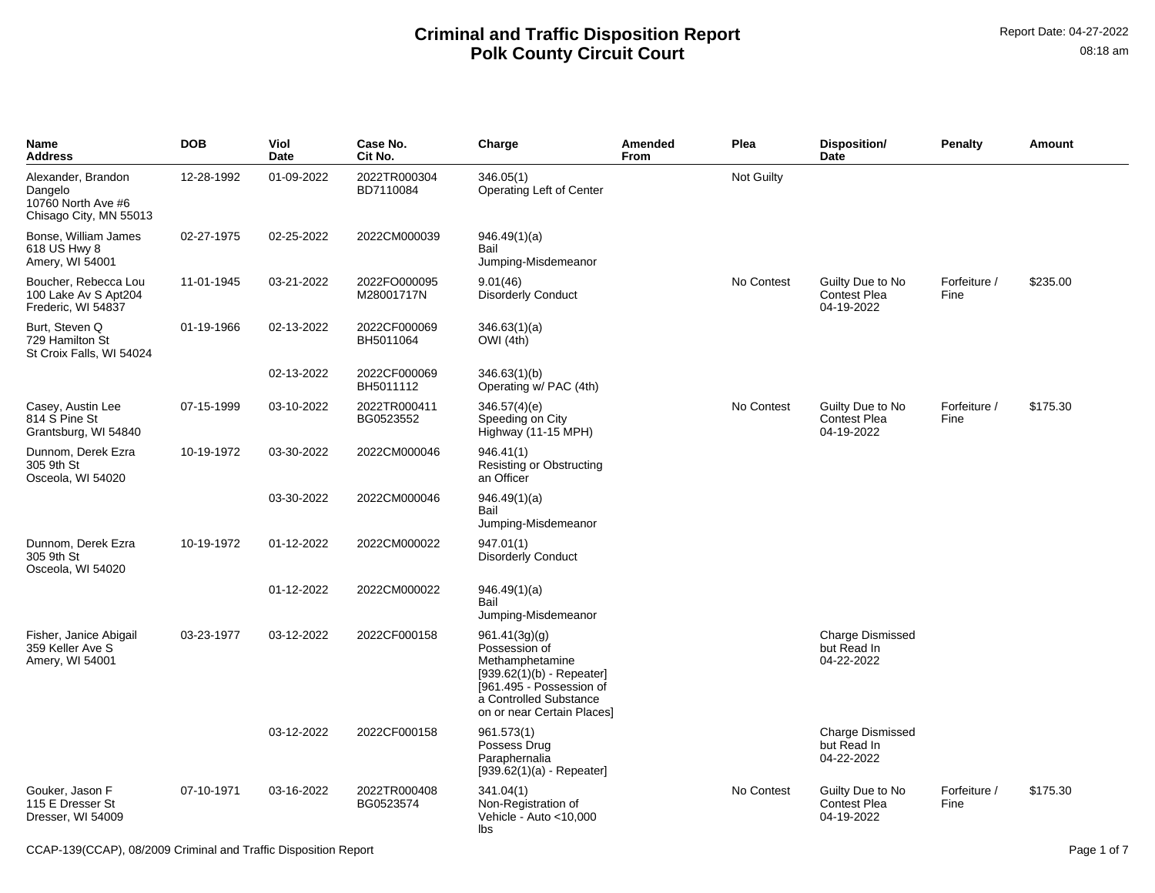| Name<br>Address                                                               | <b>DOB</b> | Viol<br>Date | Case No.<br>Cit No.        | Charge                                                                                                                                                               | Amended<br>From | Plea              | Disposition/<br>Date                                  | <b>Penalty</b>       | Amount   |
|-------------------------------------------------------------------------------|------------|--------------|----------------------------|----------------------------------------------------------------------------------------------------------------------------------------------------------------------|-----------------|-------------------|-------------------------------------------------------|----------------------|----------|
| Alexander, Brandon<br>Dangelo<br>10760 North Ave #6<br>Chisago City, MN 55013 | 12-28-1992 | 01-09-2022   | 2022TR000304<br>BD7110084  | 346.05(1)<br>Operating Left of Center                                                                                                                                |                 | <b>Not Guilty</b> |                                                       |                      |          |
| Bonse, William James<br>618 US Hwy 8<br>Amery, WI 54001                       | 02-27-1975 | 02-25-2022   | 2022CM000039               | 946.49(1)(a)<br>Bail<br>Jumping-Misdemeanor                                                                                                                          |                 |                   |                                                       |                      |          |
| Boucher, Rebecca Lou<br>100 Lake Av S Apt204<br>Frederic, WI 54837            | 11-01-1945 | 03-21-2022   | 2022FO000095<br>M28001717N | 9.01(46)<br><b>Disorderly Conduct</b>                                                                                                                                |                 | No Contest        | Guilty Due to No<br><b>Contest Plea</b><br>04-19-2022 | Forfeiture /<br>Fine | \$235.00 |
| Burt, Steven Q<br>729 Hamilton St<br>St Croix Falls, WI 54024                 | 01-19-1966 | 02-13-2022   | 2022CF000069<br>BH5011064  | 346.63(1)(a)<br>OWI (4th)                                                                                                                                            |                 |                   |                                                       |                      |          |
|                                                                               |            | 02-13-2022   | 2022CF000069<br>BH5011112  | 346.63(1)(b)<br>Operating w/ PAC (4th)                                                                                                                               |                 |                   |                                                       |                      |          |
| Casey, Austin Lee<br>814 S Pine St<br>Grantsburg, WI 54840                    | 07-15-1999 | 03-10-2022   | 2022TR000411<br>BG0523552  | 346.57(4)(e)<br>Speeding on City<br>Highway (11-15 MPH)                                                                                                              |                 | No Contest        | Guilty Due to No<br><b>Contest Plea</b><br>04-19-2022 | Forfeiture /<br>Fine | \$175.30 |
| Dunnom, Derek Ezra<br>305 9th St<br>Osceola, WI 54020                         | 10-19-1972 | 03-30-2022   | 2022CM000046               | 946.41(1)<br>Resisting or Obstructing<br>an Officer                                                                                                                  |                 |                   |                                                       |                      |          |
|                                                                               |            | 03-30-2022   | 2022CM000046               | 946.49(1)(a)<br>Bail<br>Jumping-Misdemeanor                                                                                                                          |                 |                   |                                                       |                      |          |
| Dunnom, Derek Ezra<br>305 9th St<br>Osceola, WI 54020                         | 10-19-1972 | 01-12-2022   | 2022CM000022               | 947.01(1)<br><b>Disorderly Conduct</b>                                                                                                                               |                 |                   |                                                       |                      |          |
|                                                                               |            | 01-12-2022   | 2022CM000022               | 946.49(1)(a)<br>Bail<br>Jumping-Misdemeanor                                                                                                                          |                 |                   |                                                       |                      |          |
| Fisher, Janice Abigail<br>359 Keller Ave S<br>Amery, WI 54001                 | 03-23-1977 | 03-12-2022   | 2022CF000158               | 961.41(3g)(g)<br>Possession of<br>Methamphetamine<br>$[939.62(1)(b) - Repeater]$<br>[961.495 - Possession of<br>a Controlled Substance<br>on or near Certain Places] |                 |                   | <b>Charge Dismissed</b><br>but Read In<br>04-22-2022  |                      |          |
|                                                                               |            | 03-12-2022   | 2022CF000158               | 961.573(1)<br>Possess Drug<br>Paraphernalia<br>$[939.62(1)(a) - Repeated]$                                                                                           |                 |                   | <b>Charge Dismissed</b><br>but Read In<br>04-22-2022  |                      |          |
| Gouker, Jason F<br>115 E Dresser St<br>Dresser, WI 54009                      | 07-10-1971 | 03-16-2022   | 2022TR000408<br>BG0523574  | 341.04(1)<br>Non-Registration of<br>Vehicle - Auto $<$ 10,000<br>lbs                                                                                                 |                 | No Contest        | Guilty Due to No<br><b>Contest Plea</b><br>04-19-2022 | Forfeiture /<br>Fine | \$175.30 |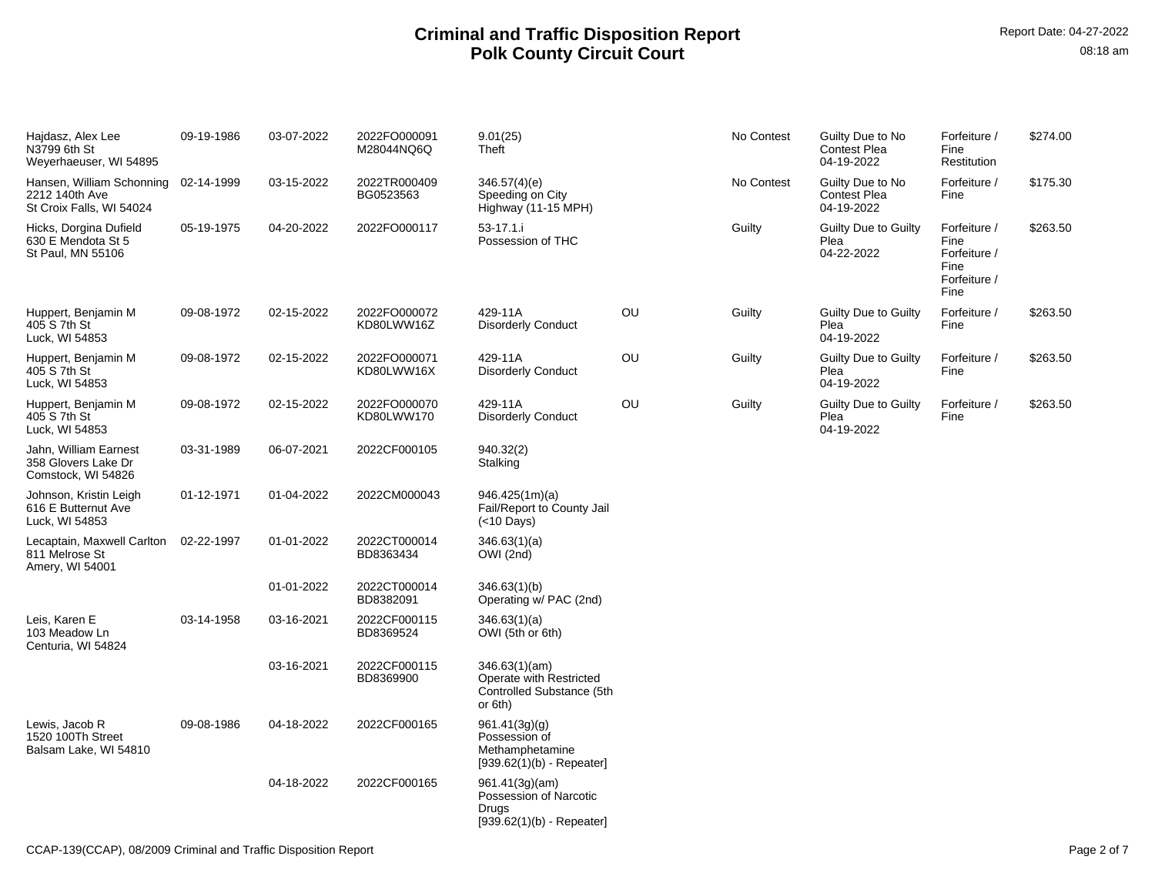| Hajdasz, Alex Lee<br>N3799 6th St<br>Weyerhaeuser, WI 54895                        | 09-19-1986 | 03-07-2022 | 2022FO000091<br>M28044NQ6Q | 9.01(25)<br>Theft                                                                |    | No Contest | Guilty Due to No<br><b>Contest Plea</b><br>04-19-2022 | Forfeiture /<br>Fine<br>Restitution                                  | \$274.00 |
|------------------------------------------------------------------------------------|------------|------------|----------------------------|----------------------------------------------------------------------------------|----|------------|-------------------------------------------------------|----------------------------------------------------------------------|----------|
| Hansen, William Schonning 02-14-1999<br>2212 140th Ave<br>St Croix Falls, WI 54024 |            | 03-15-2022 | 2022TR000409<br>BG0523563  | 346.57(4)(e)<br>Speeding on City<br>Highway (11-15 MPH)                          |    | No Contest | Guilty Due to No<br><b>Contest Plea</b><br>04-19-2022 | Forfeiture /<br>Fine                                                 | \$175.30 |
| Hicks, Dorgina Dufield<br>630 E Mendota St 5<br>St Paul, MN 55106                  | 05-19-1975 | 04-20-2022 | 2022FO000117               | $53 - 17.1$ .<br>Possession of THC                                               |    | Guilty     | Guilty Due to Guilty<br>Plea<br>04-22-2022            | Forfeiture /<br>Fine<br>Forfeiture /<br>Fine<br>Forfeiture /<br>Fine | \$263.50 |
| Huppert, Benjamin M<br>405 S 7th St<br>Luck, WI 54853                              | 09-08-1972 | 02-15-2022 | 2022FO000072<br>KD80LWW16Z | 429-11A<br><b>Disorderly Conduct</b>                                             | OU | Guilty     | Guilty Due to Guilty<br>Plea<br>04-19-2022            | Forfeiture /<br>Fine                                                 | \$263.50 |
| Huppert, Benjamin M<br>405 S 7th St<br>Luck, WI 54853                              | 09-08-1972 | 02-15-2022 | 2022FO000071<br>KD80LWW16X | 429-11A<br><b>Disorderly Conduct</b>                                             | OU | Guilty     | Guilty Due to Guilty<br>Plea<br>04-19-2022            | Forfeiture /<br>Fine                                                 | \$263.50 |
| Huppert, Benjamin M<br>405 S 7th St<br>Luck, WI 54853                              | 09-08-1972 | 02-15-2022 | 2022FO000070<br>KD80LWW170 | 429-11A<br><b>Disorderly Conduct</b>                                             | OU | Guilty     | Guilty Due to Guilty<br>Plea<br>04-19-2022            | Forfeiture /<br>Fine                                                 | \$263.50 |
| Jahn, William Earnest<br>358 Glovers Lake Dr<br>Comstock, WI 54826                 | 03-31-1989 | 06-07-2021 | 2022CF000105               | 940.32(2)<br>Stalking                                                            |    |            |                                                       |                                                                      |          |
| Johnson, Kristin Leigh<br>616 E Butternut Ave<br>Luck, WI 54853                    | 01-12-1971 | 01-04-2022 | 2022CM000043               | 946.425(1m)(a)<br>Fail/Report to County Jail<br>$(<$ 10 Days)                    |    |            |                                                       |                                                                      |          |
| Lecaptain, Maxwell Carlton<br>811 Melrose St<br>Amery, WI 54001                    | 02-22-1997 | 01-01-2022 | 2022CT000014<br>BD8363434  | 346.63(1)(a)<br>OWI (2nd)                                                        |    |            |                                                       |                                                                      |          |
|                                                                                    |            | 01-01-2022 | 2022CT000014<br>BD8382091  | 346.63(1)(b)<br>Operating w/ PAC (2nd)                                           |    |            |                                                       |                                                                      |          |
| Leis. Karen E<br>103 Meadow Ln<br>Centuria, WI 54824                               | 03-14-1958 | 03-16-2021 | 2022CF000115<br>BD8369524  | 346.63(1)(a)<br>OWI (5th or 6th)                                                 |    |            |                                                       |                                                                      |          |
|                                                                                    |            | 03-16-2021 | 2022CF000115<br>BD8369900  | 346.63(1)(am)<br>Operate with Restricted<br>Controlled Substance (5th<br>or 6th) |    |            |                                                       |                                                                      |          |
| Lewis, Jacob R<br>1520 100Th Street<br>Balsam Lake, WI 54810                       | 09-08-1986 | 04-18-2022 | 2022CF000165               | 961.41(3g)(q)<br>Possession of<br>Methamphetamine<br>$[939.62(1)(b) - Repeated]$ |    |            |                                                       |                                                                      |          |
|                                                                                    |            | 04-18-2022 | 2022CF000165               | 961.41(3g)(am)<br>Possession of Narcotic<br>Drugs<br>$[939.62(1)(b) - Repeated]$ |    |            |                                                       |                                                                      |          |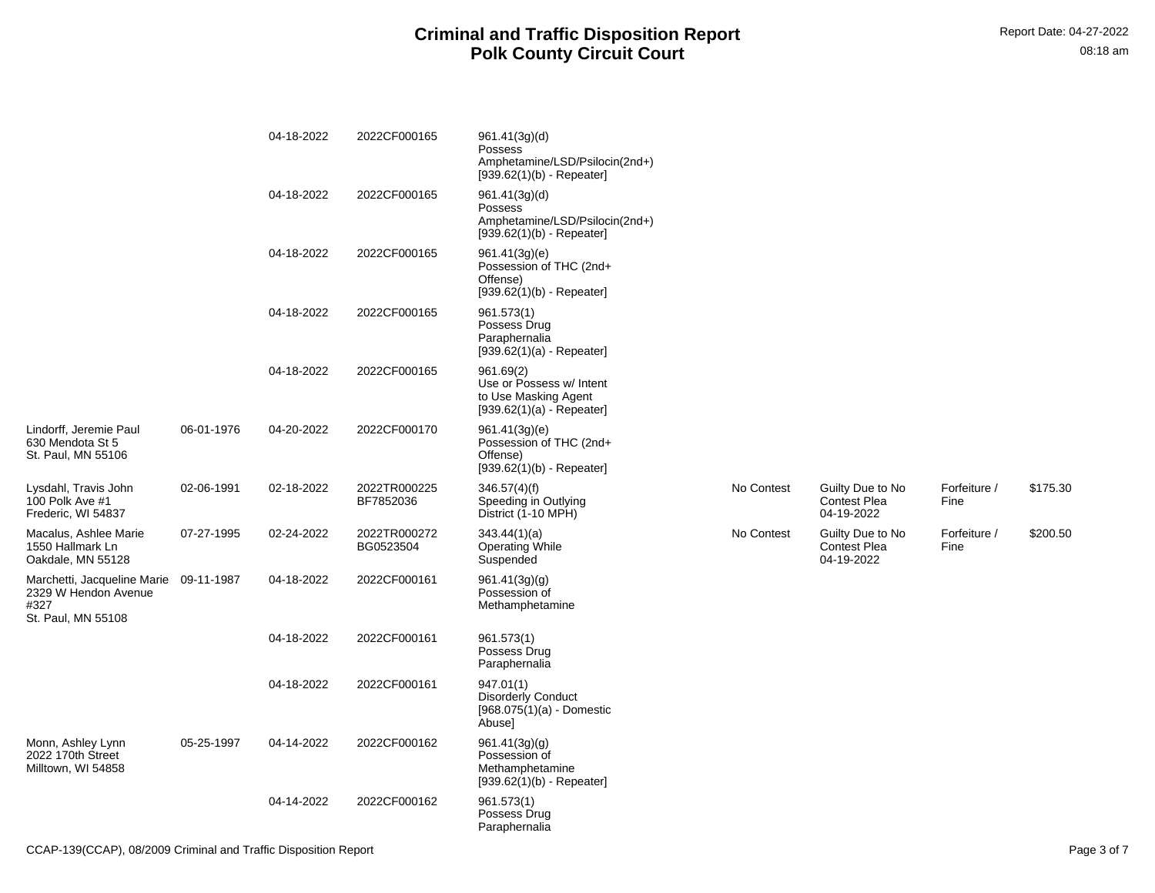|                                                                                              |            | 04-18-2022 | 2022CF000165              | 961.41(3g)(d)<br>Possess<br>Amphetamine/LSD/Psilocin(2nd+)<br>$[939.62(1)(b) - Repeated]$    |            |                                                       |                      |          |
|----------------------------------------------------------------------------------------------|------------|------------|---------------------------|----------------------------------------------------------------------------------------------|------------|-------------------------------------------------------|----------------------|----------|
|                                                                                              |            | 04-18-2022 | 2022CF000165              | 961.41(3g)(d)<br>Possess<br>Amphetamine/LSD/Psilocin(2nd+)<br>$[939.62(1)(b) - Repeated]$    |            |                                                       |                      |          |
|                                                                                              |            | 04-18-2022 | 2022CF000165              | 961.41(3g)(e)<br>Possession of THC (2nd+<br>Offense)<br>$[939.62(1)(b) - Repeated]$          |            |                                                       |                      |          |
|                                                                                              |            | 04-18-2022 | 2022CF000165              | 961.573(1)<br>Possess Drug<br>Paraphernalia<br>$[939.62(1)(a) - Repeated]$                   |            |                                                       |                      |          |
|                                                                                              |            | 04-18-2022 | 2022CF000165              | 961.69(2)<br>Use or Possess w/ Intent<br>to Use Masking Agent<br>$[939.62(1)(a) - Repeated]$ |            |                                                       |                      |          |
| Lindorff, Jeremie Paul<br>630 Mendota St 5<br>St. Paul, MN 55106                             | 06-01-1976 | 04-20-2022 | 2022CF000170              | 961.41(3g)(e)<br>Possession of THC (2nd+<br>Offense)<br>$[939.62(1)(b) - Repeated]$          |            |                                                       |                      |          |
| Lysdahl, Travis John<br>100 Polk Ave #1<br>Frederic, WI 54837                                | 02-06-1991 | 02-18-2022 | 2022TR000225<br>BF7852036 | 346.57(4)(f)<br>Speeding in Outlying<br>District (1-10 MPH)                                  | No Contest | Guilty Due to No<br><b>Contest Plea</b><br>04-19-2022 | Forfeiture /<br>Fine | \$175.30 |
| Macalus, Ashlee Marie<br>1550 Hallmark Ln<br>Oakdale, MN 55128                               | 07-27-1995 | 02-24-2022 | 2022TR000272<br>BG0523504 | 343.44(1)(a)<br><b>Operating While</b><br>Suspended                                          | No Contest | Guilty Due to No<br><b>Contest Plea</b><br>04-19-2022 | Forfeiture /<br>Fine | \$200.50 |
| Marchetti, Jacqueline Marie 09-11-1987<br>2329 W Hendon Avenue<br>#327<br>St. Paul, MN 55108 |            | 04-18-2022 | 2022CF000161              | 961.41(3g)(g)<br>Possession of<br>Methamphetamine                                            |            |                                                       |                      |          |
|                                                                                              |            | 04-18-2022 | 2022CF000161              | 961.573(1)<br>Possess Drug<br>Paraphernalia                                                  |            |                                                       |                      |          |
|                                                                                              |            | 04-18-2022 | 2022CF000161              | 947.01(1)<br><b>Disorderly Conduct</b><br>$[968.075(1)(a) - Domestic$<br>Abuse]              |            |                                                       |                      |          |
| Monn, Ashley Lynn<br>2022 170th Street<br>Milltown, WI 54858                                 | 05-25-1997 | 04-14-2022 | 2022CF000162              | 961.41(3g)(g)<br>Possession of<br>Methamphetamine<br>$[939.62(1)(b) - Repeated]$             |            |                                                       |                      |          |
|                                                                                              |            | 04-14-2022 | 2022CF000162              | 961.573(1)<br>Possess Drug<br>Paraphernalia                                                  |            |                                                       |                      |          |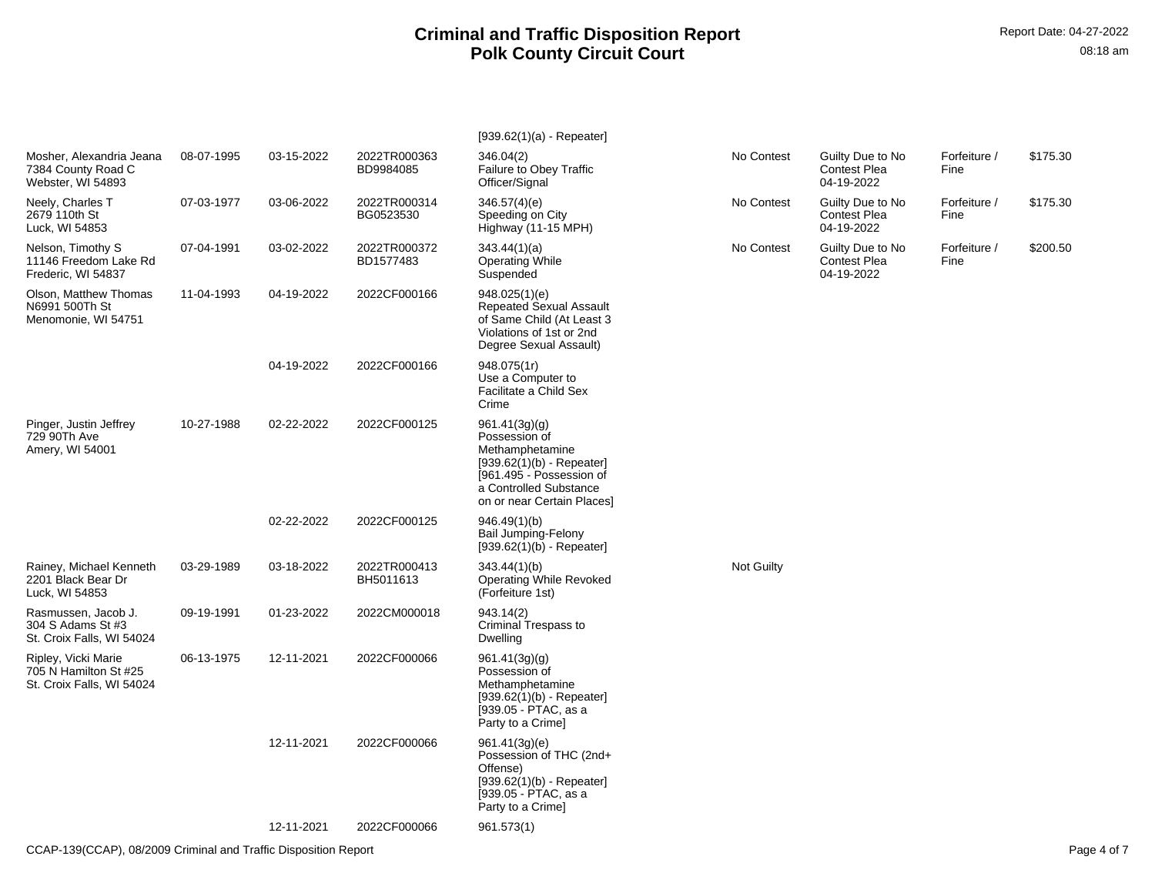|                                                                           |            |            |                           | $[939.62(1)(a) - Repeated]$                                                                                                                                          |                   |                                                       |                      |          |
|---------------------------------------------------------------------------|------------|------------|---------------------------|----------------------------------------------------------------------------------------------------------------------------------------------------------------------|-------------------|-------------------------------------------------------|----------------------|----------|
| Mosher, Alexandria Jeana<br>7384 County Road C<br>Webster, WI 54893       | 08-07-1995 | 03-15-2022 | 2022TR000363<br>BD9984085 | 346.04(2)<br>Failure to Obey Traffic<br>Officer/Signal                                                                                                               | No Contest        | Guilty Due to No<br><b>Contest Plea</b><br>04-19-2022 | Forfeiture /<br>Fine | \$175.30 |
| Neely, Charles T<br>2679 110th St<br>Luck, WI 54853                       | 07-03-1977 | 03-06-2022 | 2022TR000314<br>BG0523530 | 346.57(4)(e)<br>Speeding on City<br>Highway (11-15 MPH)                                                                                                              | No Contest        | Guilty Due to No<br><b>Contest Plea</b><br>04-19-2022 | Forfeiture /<br>Fine | \$175.30 |
| Nelson, Timothy S<br>11146 Freedom Lake Rd<br>Frederic, WI 54837          | 07-04-1991 | 03-02-2022 | 2022TR000372<br>BD1577483 | 343.44(1)(a)<br><b>Operating While</b><br>Suspended                                                                                                                  | No Contest        | Guilty Due to No<br><b>Contest Plea</b><br>04-19-2022 | Forfeiture /<br>Fine | \$200.50 |
| Olson, Matthew Thomas<br>N6991 500Th St<br>Menomonie, WI 54751            | 11-04-1993 | 04-19-2022 | 2022CF000166              | 948.025(1)(e)<br><b>Repeated Sexual Assault</b><br>of Same Child (At Least 3<br>Violations of 1st or 2nd<br>Degree Sexual Assault)                                   |                   |                                                       |                      |          |
|                                                                           |            | 04-19-2022 | 2022CF000166              | 948.075(1r)<br>Use a Computer to<br>Facilitate a Child Sex<br>Crime                                                                                                  |                   |                                                       |                      |          |
| Pinger, Justin Jeffrey<br>729 90Th Ave<br>Amery, WI 54001                 | 10-27-1988 | 02-22-2022 | 2022CF000125              | 961.41(3g)(g)<br>Possession of<br>Methamphetamine<br>$[939.62(1)(b) - Repeated]$<br>[961.495 - Possession of<br>a Controlled Substance<br>on or near Certain Places] |                   |                                                       |                      |          |
|                                                                           |            | 02-22-2022 | 2022CF000125              | 946.49(1)(b)<br>Bail Jumping-Felony<br>$[939.62(1)(b) - Repeated]$                                                                                                   |                   |                                                       |                      |          |
| Rainey, Michael Kenneth<br>2201 Black Bear Dr<br>Luck, WI 54853           | 03-29-1989 | 03-18-2022 | 2022TR000413<br>BH5011613 | 343.44(1)(b)<br><b>Operating While Revoked</b><br>(Forfeiture 1st)                                                                                                   | <b>Not Guilty</b> |                                                       |                      |          |
| Rasmussen, Jacob J.<br>304 S Adams St #3<br>St. Croix Falls, WI 54024     | 09-19-1991 | 01-23-2022 | 2022CM000018              | 943.14(2)<br>Criminal Trespass to<br>Dwelling                                                                                                                        |                   |                                                       |                      |          |
| Ripley, Vicki Marie<br>705 N Hamilton St #25<br>St. Croix Falls, WI 54024 | 06-13-1975 | 12-11-2021 | 2022CF000066              | 961.41(3g)(g)<br>Possession of<br>Methamphetamine<br>$[939.62(1)(b) - Repeated]$<br>[939.05 - PTAC, as a<br>Party to a Crime]                                        |                   |                                                       |                      |          |
|                                                                           |            | 12-11-2021 | 2022CF000066              | 961.41(3g)(e)<br>Possession of THC (2nd+<br>Offense)<br>$[939.62(1)(b) - Repeated]$<br>[939.05 - PTAC, as a<br>Party to a Crime]                                     |                   |                                                       |                      |          |
|                                                                           |            | 12-11-2021 | 2022CF000066              | 961.573(1)                                                                                                                                                           |                   |                                                       |                      |          |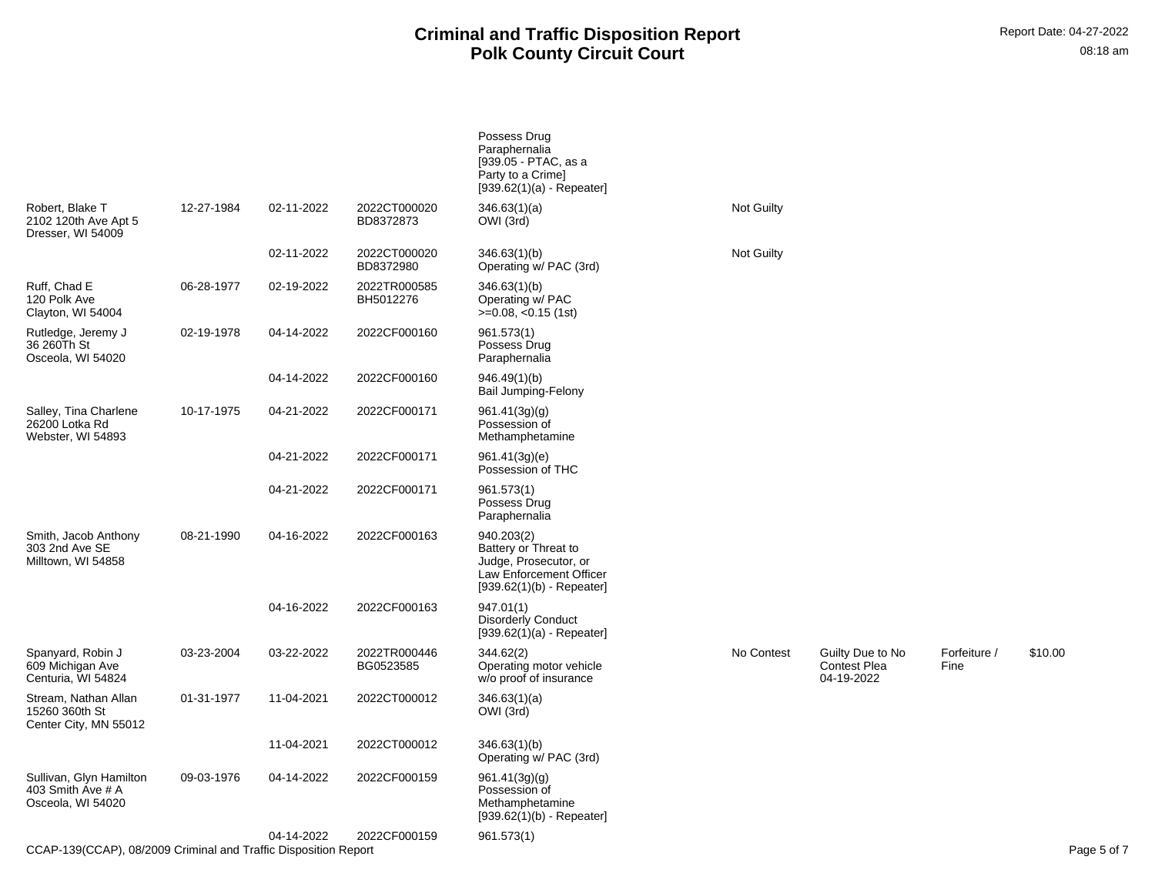|                                                                   |            |            |                           | Possess Drug<br>Paraphernalia<br>[939.05 - PTAC, as a<br>Party to a Crimel<br>$[939.62(1)(a) - Repeated]$             |            |                                                       |                      |             |
|-------------------------------------------------------------------|------------|------------|---------------------------|-----------------------------------------------------------------------------------------------------------------------|------------|-------------------------------------------------------|----------------------|-------------|
| Robert. Blake T<br>2102 120th Ave Apt 5<br>Dresser, WI 54009      | 12-27-1984 | 02-11-2022 | 2022CT000020<br>BD8372873 | 346.63(1)(a)<br>OWI (3rd)                                                                                             | Not Guilty |                                                       |                      |             |
|                                                                   |            | 02-11-2022 | 2022CT000020<br>BD8372980 | 346.63(1)(b)<br>Operating w/ PAC (3rd)                                                                                | Not Guilty |                                                       |                      |             |
| Ruff, Chad E<br>120 Polk Ave<br>Clayton, WI 54004                 | 06-28-1977 | 02-19-2022 | 2022TR000585<br>BH5012276 | 346.63(1)(b)<br>Operating w/ PAC<br>$>=0.08, <0.15$ (1st)                                                             |            |                                                       |                      |             |
| Rutledge, Jeremy J<br>36 260Th St<br>Osceola, WI 54020            | 02-19-1978 | 04-14-2022 | 2022CF000160              | 961.573(1)<br>Possess Drug<br>Paraphernalia                                                                           |            |                                                       |                      |             |
|                                                                   |            | 04-14-2022 | 2022CF000160              | 946.49(1)(b)<br>Bail Jumping-Felony                                                                                   |            |                                                       |                      |             |
| Salley, Tina Charlene<br>26200 Lotka Rd<br>Webster, WI 54893      | 10-17-1975 | 04-21-2022 | 2022CF000171              | 961.41(3g)(g)<br>Possession of<br>Methamphetamine                                                                     |            |                                                       |                      |             |
|                                                                   |            | 04-21-2022 | 2022CF000171              | 961.41(3g)(e)<br>Possession of THC                                                                                    |            |                                                       |                      |             |
|                                                                   |            | 04-21-2022 | 2022CF000171              | 961.573(1)<br>Possess Drug<br>Paraphernalia                                                                           |            |                                                       |                      |             |
| Smith, Jacob Anthony<br>303 2nd Ave SE<br>Milltown, WI 54858      | 08-21-1990 | 04-16-2022 | 2022CF000163              | 940.203(2)<br>Battery or Threat to<br>Judge, Prosecutor, or<br>Law Enforcement Officer<br>$[939.62(1)(b) - Repeated]$ |            |                                                       |                      |             |
|                                                                   |            | 04-16-2022 | 2022CF000163              | 947.01(1)<br><b>Disorderly Conduct</b><br>$[939.62(1)(a) - Repeated]$                                                 |            |                                                       |                      |             |
| Spanyard, Robin J<br>609 Michigan Ave<br>Centuria, WI 54824       | 03-23-2004 | 03-22-2022 | 2022TR000446<br>BG0523585 | 344.62(2)<br>Operating motor vehicle<br>w/o proof of insurance                                                        | No Contest | Guilty Due to No<br><b>Contest Plea</b><br>04-19-2022 | Forfeiture /<br>Fine | \$10.00     |
| Stream, Nathan Allan<br>15260 360th St<br>Center City, MN 55012   | 01-31-1977 | 11-04-2021 | 2022CT000012              | 346.63(1)(a)<br>OWI (3rd)                                                                                             |            |                                                       |                      |             |
|                                                                   |            | 11-04-2021 | 2022CT000012              | 346.63(1)(b)<br>Operating w/ PAC (3rd)                                                                                |            |                                                       |                      |             |
| Sullivan, Glyn Hamilton<br>403 Smith Ave # A<br>Osceola, WI 54020 | 09-03-1976 | 04-14-2022 | 2022CF000159              | 961.41(3g)(g)<br>Possession of<br>Methamphetamine<br>$[939.62(1)(b) - Repeated]$                                      |            |                                                       |                      |             |
| CCAP-139(CCAP), 08/2009 Criminal and Traffic Disposition Report   |            | 04-14-2022 | 2022CF000159              | 961.573(1)                                                                                                            |            |                                                       |                      | Page 5 of 7 |
|                                                                   |            |            |                           |                                                                                                                       |            |                                                       |                      |             |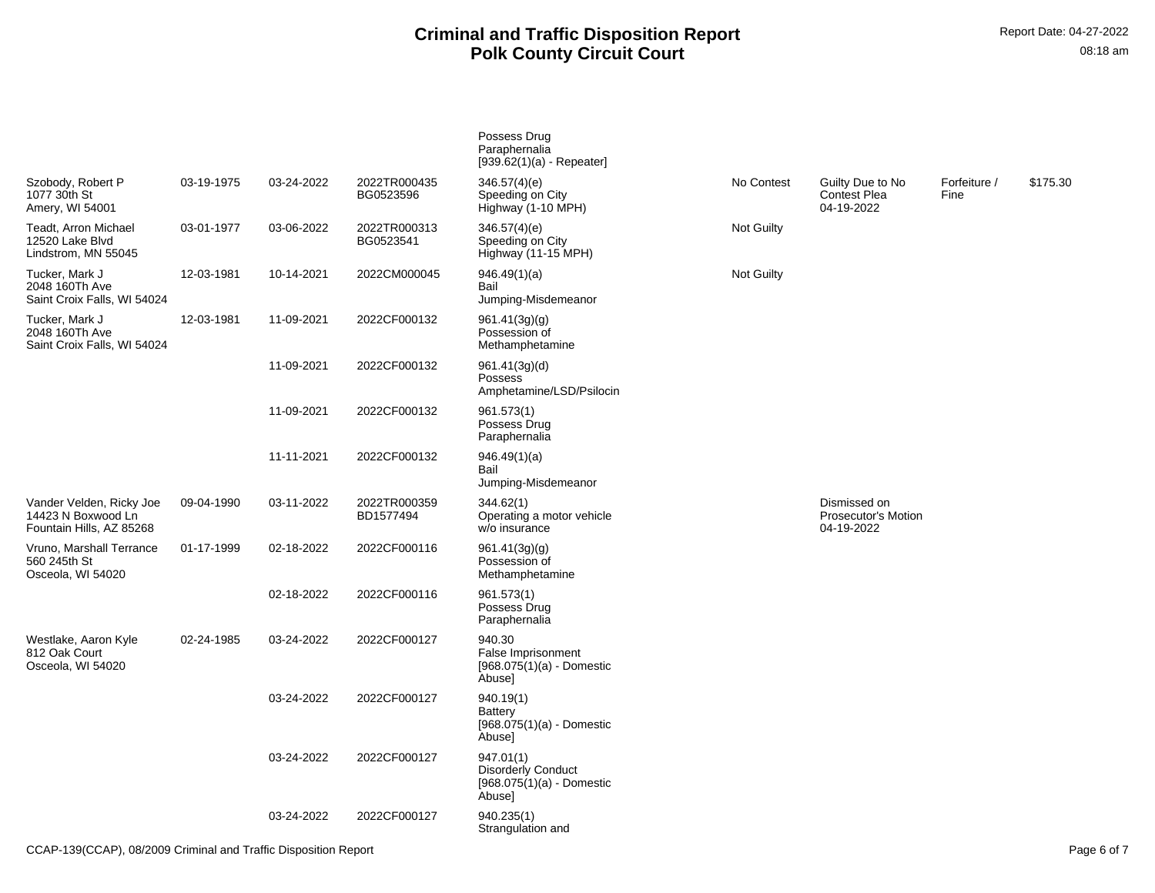|                                                                            |            |            |                           | Possess Drug<br>Paraphernalia<br>$[939.62(1)(a) - Repeated]$                    |                   |                                                       |                      |          |
|----------------------------------------------------------------------------|------------|------------|---------------------------|---------------------------------------------------------------------------------|-------------------|-------------------------------------------------------|----------------------|----------|
| Szobody, Robert P<br>1077 30th St<br>Amery, WI 54001                       | 03-19-1975 | 03-24-2022 | 2022TR000435<br>BG0523596 | 346.57(4)(e)<br>Speeding on City<br>Highway (1-10 MPH)                          | No Contest        | Guilty Due to No<br><b>Contest Plea</b><br>04-19-2022 | Forfeiture /<br>Fine | \$175.30 |
| Teadt, Arron Michael<br>12520 Lake Blvd<br>Lindstrom, MN 55045             | 03-01-1977 | 03-06-2022 | 2022TR000313<br>BG0523541 | 346.57(4)(e)<br>Speeding on City<br>Highway (11-15 MPH)                         | <b>Not Guilty</b> |                                                       |                      |          |
| Tucker, Mark J<br>2048 160Th Ave<br>Saint Croix Falls, WI 54024            | 12-03-1981 | 10-14-2021 | 2022CM000045              | 946.49(1)(a)<br>Bail<br>Jumping-Misdemeanor                                     | <b>Not Guilty</b> |                                                       |                      |          |
| Tucker, Mark J<br>2048 160Th Ave<br>Saint Croix Falls, WI 54024            | 12-03-1981 | 11-09-2021 | 2022CF000132              | 961.41(3g)(g)<br>Possession of<br>Methamphetamine                               |                   |                                                       |                      |          |
|                                                                            |            | 11-09-2021 | 2022CF000132              | 961.41(3g)(d)<br>Possess<br>Amphetamine/LSD/Psilocin                            |                   |                                                       |                      |          |
|                                                                            |            | 11-09-2021 | 2022CF000132              | 961.573(1)<br>Possess Drug<br>Paraphernalia                                     |                   |                                                       |                      |          |
|                                                                            |            | 11-11-2021 | 2022CF000132              | 946.49(1)(a)<br>Bail<br>Jumping-Misdemeanor                                     |                   |                                                       |                      |          |
| Vander Velden, Ricky Joe<br>14423 N Boxwood Ln<br>Fountain Hills, AZ 85268 | 09-04-1990 | 03-11-2022 | 2022TR000359<br>BD1577494 | 344.62(1)<br>Operating a motor vehicle<br>w/o insurance                         |                   | Dismissed on<br>Prosecutor's Motion<br>04-19-2022     |                      |          |
| Vruno, Marshall Terrance<br>560 245th St<br>Osceola, WI 54020              | 01-17-1999 | 02-18-2022 | 2022CF000116              | 961.41(3g)(g)<br>Possession of<br>Methamphetamine                               |                   |                                                       |                      |          |
|                                                                            |            | 02-18-2022 | 2022CF000116              | 961.573(1)<br>Possess Drug<br>Paraphernalia                                     |                   |                                                       |                      |          |
| Westlake, Aaron Kyle<br>812 Oak Court<br>Osceola, WI 54020                 | 02-24-1985 | 03-24-2022 | 2022CF000127              | 940.30<br>False Imprisonment<br>$[968.075(1)(a) -$ Domestic<br>Abuse]           |                   |                                                       |                      |          |
|                                                                            |            | 03-24-2022 | 2022CF000127              | 940.19(1)<br>Battery<br>[968.075(1)(a) - Domestic<br>Abuse]                     |                   |                                                       |                      |          |
|                                                                            |            | 03-24-2022 | 2022CF000127              | 947.01(1)<br><b>Disorderly Conduct</b><br>$[968.075(1)(a) -$ Domestic<br>Abuse] |                   |                                                       |                      |          |
|                                                                            |            | 03-24-2022 | 2022CF000127              | 940.235(1)<br>Strangulation and                                                 |                   |                                                       |                      |          |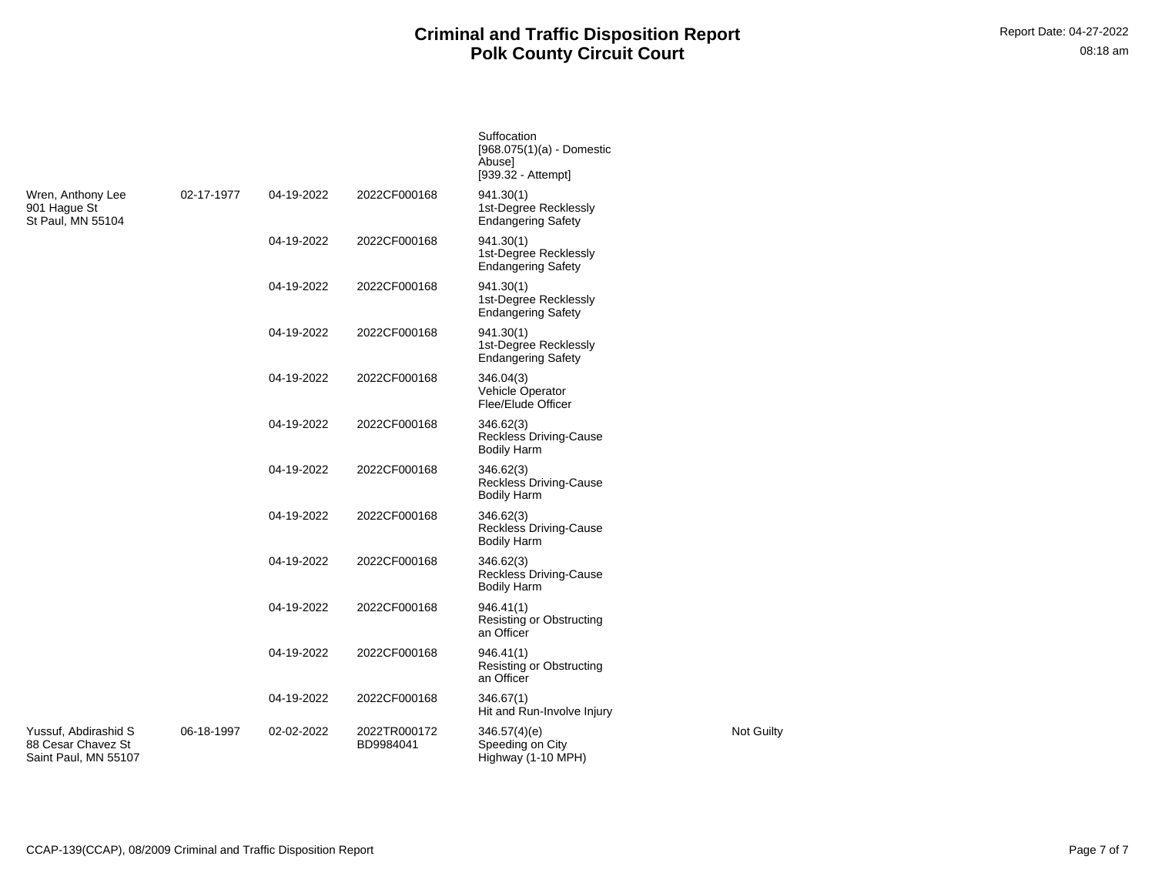**Suffocation** 

|                                                                    |            |            |                           | $[968.075(1)(a) - Domestic$<br>Abuse]<br>[939.32 - Attempt]      |            |
|--------------------------------------------------------------------|------------|------------|---------------------------|------------------------------------------------------------------|------------|
| Wren, Anthony Lee<br>901 Haque St<br>St Paul, MN 55104             | 02-17-1977 | 04-19-2022 | 2022CF000168              | 941.30(1)<br>1st-Degree Recklessly<br><b>Endangering Safety</b>  |            |
|                                                                    |            | 04-19-2022 | 2022CF000168              | 941.30(1)<br>1st-Degree Recklessly<br><b>Endangering Safety</b>  |            |
|                                                                    |            | 04-19-2022 | 2022CF000168              | 941.30(1)<br>1st-Degree Recklessly<br><b>Endangering Safety</b>  |            |
|                                                                    |            | 04-19-2022 | 2022CF000168              | 941.30(1)<br>1st-Degree Recklessly<br><b>Endangering Safety</b>  |            |
|                                                                    |            | 04-19-2022 | 2022CF000168              | 346.04(3)<br>Vehicle Operator<br>Flee/Elude Officer              |            |
|                                                                    |            | 04-19-2022 | 2022CF000168              | 346.62(3)<br><b>Reckless Driving-Cause</b><br><b>Bodily Harm</b> |            |
|                                                                    |            | 04-19-2022 | 2022CF000168              | 346.62(3)<br><b>Reckless Driving-Cause</b><br><b>Bodily Harm</b> |            |
|                                                                    |            | 04-19-2022 | 2022CF000168              | 346.62(3)<br><b>Reckless Driving-Cause</b><br><b>Bodily Harm</b> |            |
|                                                                    |            | 04-19-2022 | 2022CF000168              | 346.62(3)<br><b>Reckless Driving-Cause</b><br><b>Bodily Harm</b> |            |
|                                                                    |            | 04-19-2022 | 2022CF000168              | 946.41(1)<br><b>Resisting or Obstructing</b><br>an Officer       |            |
|                                                                    |            | 04-19-2022 | 2022CF000168              | 946.41(1)<br><b>Resisting or Obstructing</b><br>an Officer       |            |
|                                                                    |            | 04-19-2022 | 2022CF000168              | 346.67(1)<br>Hit and Run-Involve Injury                          |            |
| Yussuf, Abdirashid S<br>88 Cesar Chavez St<br>Saint Paul, MN 55107 | 06-18-1997 | 02-02-2022 | 2022TR000172<br>BD9984041 | 346.57(4)(e)<br>Speeding on City<br>Highway (1-10 MPH)           | Not Guilty |